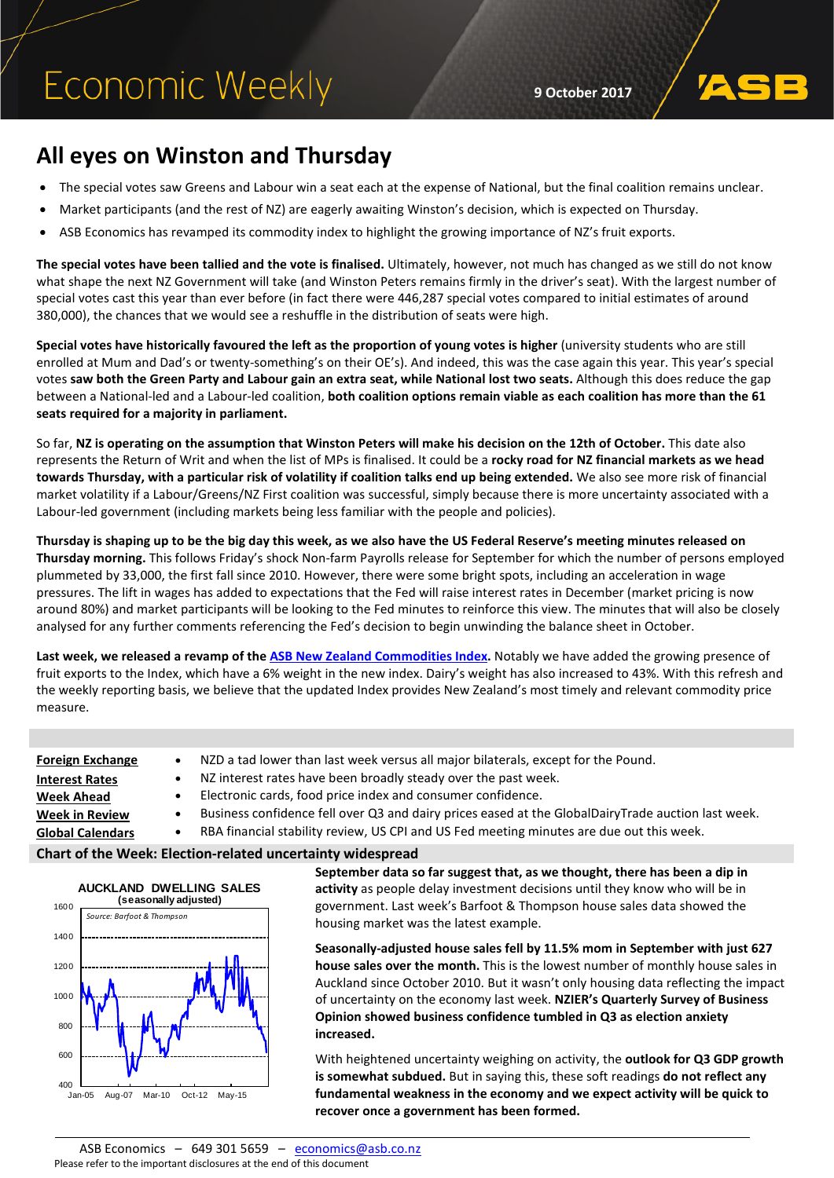# **Economic Weekly**

**9 October 2017**

### **All eyes on Winston and Thursday**

- The special votes saw Greens and Labour win a seat each at the expense of National, but the final coalition remains unclear.
- Market participants (and the rest of NZ) are eagerly awaiting Winston's decision, which is expected on Thursday.
- ASB Economics has revamped its commodity index to highlight the growing importance of NZ's fruit exports.

**The special votes have been tallied and the vote is finalised.** Ultimately, however, not much has changed as we still do not know what shape the next NZ Government will take (and Winston Peters remains firmly in the driver's seat). With the largest number of special votes cast this year than ever before (in fact there were 446,287 special votes compared to initial estimates of around 380,000), the chances that we would see a reshuffle in the distribution of seats were high.

**Special votes have historically favoured the left as the proportion of young votes is higher** (university students who are still enrolled at Mum and Dad's or twenty-something's on their OE's). And indeed, this was the case again this year. This year's special votes **saw both the Green Party and Labour gain an extra seat, while National lost two seats.** Although this does reduce the gap between a National-led and a Labour-led coalition, **both coalition options remain viable as each coalition has more than the 61 seats required for a majority in parliament.**

So far, **NZ is operating on the assumption that Winston Peters will make his decision on the 12th of October.** This date also represents the Return of Writ and when the list of MPs is finalised. It could be a **rocky road for NZ financial markets as we head towards Thursday, with a particular risk of volatility if coalition talks end up being extended.** We also see more risk of financial market volatility if a Labour/Greens/NZ First coalition was successful, simply because there is more uncertainty associated with a Labour-led government (including markets being less familiar with the people and policies).

**Thursday is shaping up to be the big day this week, as we also have the US Federal Reserve's meeting minutes released on Thursday morning.** This follows Friday's shock Non-farm Payrolls release for September for which the number of persons employed plummeted by 33,000, the first fall since 2010. However, there were some bright spots, including an acceleration in wage pressures. The lift in wages has added to expectations that the Fed will raise interest rates in December (market pricing is now around 80%) and market participants will be looking to the Fed minutes to reinforce this view. The minutes that will also be closely analysed for any further comments referencing the Fed's decision to begin unwinding the balance sheet in October.

**Last week, we released a revamp of th[e ASB New Zealand Commodities Index.](https://www.asb.co.nz/documents/economic-research/commodities-weekly/commodities-weekly-061017.html)** Notably we have added the growing presence of fruit exports to the Index, which have a 6% weight in the new index. Dairy's weight has also increased to 43%. With this refresh and the weekly reporting basis, we believe that the updated Index provides New Zealand's most timely and relevant commodity price measure.

| <b>Foreign Exchange</b> | NZD a tad lower than last week versus all major bilaterals, except for the Pound.                               |
|-------------------------|-----------------------------------------------------------------------------------------------------------------|
| <b>Interest Rates</b>   | NZ interest rates have been broadly steady over the past week.                                                  |
| <b>Week Ahead</b>       | Electronic cards, food price index and consumer confidence.                                                     |
| <b>Week in Review</b>   | Business confidence fell over Q3 and dairy prices eased at the GlobalDairyTrade auction last week.<br>$\bullet$ |
| <b>Global Calendars</b> | RBA financial stability review, US CPI and US Fed meeting minutes are due out this week.<br>٠                   |
|                         | .                                                                                                               |

### **Chart of the Week: Election-related uncertainty widespread**



**September data so far suggest that, as we thought, there has been a dip in activity** as people delay investment decisions until they know who will be in government. Last week's Barfoot & Thompson house sales data showed the housing market was the latest example.

**Seasonally-adjusted house sales fell by 11.5% mom in September with just 627 house sales over the month.** This is the lowest number of monthly house sales in Auckland since October 2010. But it wasn't only housing data reflecting the impact of uncertainty on the economy last week. **NZIER's Quarterly Survey of Business Opinion showed business confidence tumbled in Q3 as election anxiety increased.**

With heightened uncertainty weighing on activity, the **outlook for Q3 GDP growth is somewhat subdued.** But in saying this, these soft readings **do not reflect any fundamental weakness in the economy and we expect activity will be quick to recover once a government has been formed.**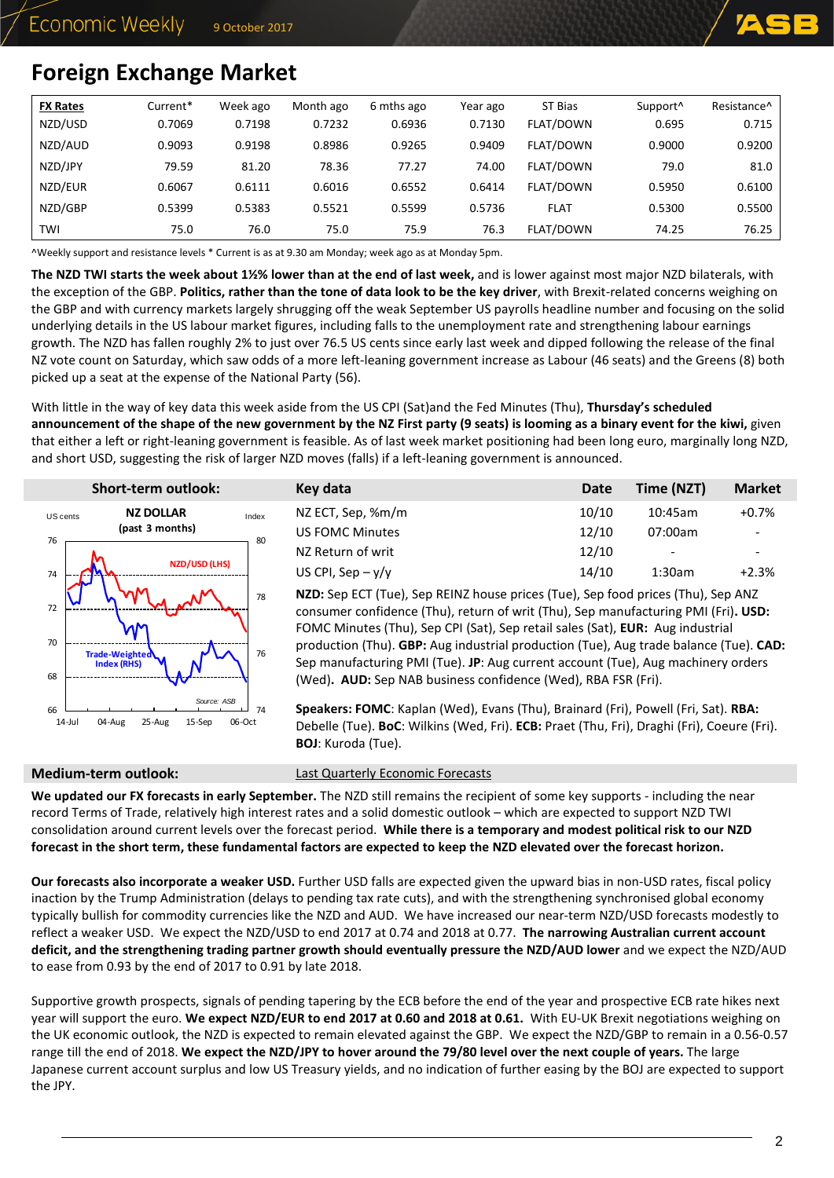

# <span id="page-1-0"></span>**Foreign Exchange Market**

| <b>FX Rates</b> | Current* | Week ago | Month ago | 6 mths ago | Year ago | ST Bias     | Support <sup>^</sup> | Resistance <sup>^</sup> |
|-----------------|----------|----------|-----------|------------|----------|-------------|----------------------|-------------------------|
| NZD/USD         | 0.7069   | 0.7198   | 0.7232    | 0.6936     | 0.7130   | FLAT/DOWN   | 0.695                | 0.715                   |
| NZD/AUD         | 0.9093   | 0.9198   | 0.8986    | 0.9265     | 0.9409   | FLAT/DOWN   | 0.9000               | 0.9200                  |
| NZD/JPY         | 79.59    | 81.20    | 78.36     | 77.27      | 74.00    | FLAT/DOWN   | 79.0                 | 81.0                    |
| NZD/EUR         | 0.6067   | 0.6111   | 0.6016    | 0.6552     | 0.6414   | FLAT/DOWN   | 0.5950               | 0.6100                  |
| NZD/GBP         | 0.5399   | 0.5383   | 0.5521    | 0.5599     | 0.5736   | <b>FLAT</b> | 0.5300               | 0.5500                  |
| TWI             | 75.0     | 76.0     | 75.0      | 75.9       | 76.3     | FLAT/DOWN   | 74.25                | 76.25                   |

^Weekly support and resistance levels \* Current is as at 9.30 am Monday; week ago as at Monday 5pm.

**The NZD TWI starts the week about 1½% lower than at the end of last week,** and is lower against most major NZD bilaterals, with the exception of the GBP. **Politics, rather than the tone of data look to be the key driver**, with Brexit-related concerns weighing on the GBP and with currency markets largely shrugging off the weak September US payrolls headline number and focusing on the solid underlying details in the US labour market figures, including falls to the unemployment rate and strengthening labour earnings growth. The NZD has fallen roughly 2% to just over 76.5 US cents since early last week and dipped following the release of the final NZ vote count on Saturday, which saw odds of a more left-leaning government increase as Labour (46 seats) and the Greens (8) both picked up a seat at the expense of the National Party (56).

With little in the way of key data this week aside from the US CPI (Sat)and the Fed Minutes (Thu), **Thursday's scheduled announcement of the shape of the new government by the NZ First party (9 seats) is looming as a binary event for the kiwi,** given that either a left or right-leaning government is feasible. As of last week market positioning had been long euro, marginally long NZD, and short USD, suggesting the risk of larger NZD moves (falls) if a left-leaning government is announced.

|                | <b>Short-term outlook:</b>                   |              | Key data                                                                                                                                                                                                                                                                                                                                                                                                                                                                                               | Date  | Time (NZT) | <b>Market</b> |
|----------------|----------------------------------------------|--------------|--------------------------------------------------------------------------------------------------------------------------------------------------------------------------------------------------------------------------------------------------------------------------------------------------------------------------------------------------------------------------------------------------------------------------------------------------------------------------------------------------------|-------|------------|---------------|
| US cents       | <b>NZ DOLLAR</b>                             | Index        | NZ ECT, Sep, %m/m                                                                                                                                                                                                                                                                                                                                                                                                                                                                                      | 10/10 | 10:45am    | $+0.7%$       |
| 76             | (past 3 months)                              | 80           | <b>US FOMC Minutes</b>                                                                                                                                                                                                                                                                                                                                                                                                                                                                                 | 12/10 | 07:00am    |               |
|                |                                              |              | NZ Return of writ                                                                                                                                                                                                                                                                                                                                                                                                                                                                                      | 12/10 |            |               |
| 74             | NZD/USD (LHS)                                |              | US CPI, Sep $-v/v$                                                                                                                                                                                                                                                                                                                                                                                                                                                                                     | 14/10 | 1:30am     | $+2.3%$       |
| 72<br>70<br>68 | Trade-Weighted<br>Index (RHS)                | 78<br>76     | NZD: Sep ECT (Tue), Sep REINZ house prices (Tue), Sep food prices (Thu), Sep ANZ<br>consumer confidence (Thu), return of writ (Thu), Sep manufacturing PMI (Fri). USD:<br>FOMC Minutes (Thu), Sep CPI (Sat), Sep retail sales (Sat), EUR: Aug industrial<br>production (Thu). GBP: Aug industrial production (Tue), Aug trade balance (Tue). CAD:<br>Sep manufacturing PMI (Tue). JP: Aug current account (Tue), Aug machinery orders<br>(Wed). AUD: Sep NAB business confidence (Wed), RBA FSR (Fri). |       |            |               |
| 66<br>14-Jul   | Source: ASB<br>25-Aug<br>04-Aug<br>$15-$ Sep | 74<br>06-Oct | Speakers: FOMC: Kaplan (Wed), Evans (Thu), Brainard (Fri), Powell (Fri, Sat). RBA:<br>Debelle (Tue). BoC: Wilkins (Wed, Fri). ECB: Praet (Thu, Fri), Draghi (Fri), Coeure (Fri).<br><b>BOJ</b> : Kuroda (Tue).                                                                                                                                                                                                                                                                                         |       |            |               |

**Medium-term outlook:** [Last Quarterly Economic Forecasts](https://www.asb.co.nz/documents/economic-research/quarterly-economic-forecasts.html)

**We updated our FX forecasts in early September.** The NZD still remains the recipient of some key supports - including the near record Terms of Trade, relatively high interest rates and a solid domestic outlook – which are expected to support NZD TWI consolidation around current levels over the forecast period. **While there is a temporary and modest political risk to our NZD forecast in the short term, these fundamental factors are expected to keep the NZD elevated over the forecast horizon.** 

**Our forecasts also incorporate a weaker USD.** Further USD falls are expected given the upward bias in non-USD rates, fiscal policy inaction by the Trump Administration (delays to pending tax rate cuts), and with the strengthening synchronised global economy typically bullish for commodity currencies like the NZD and AUD. We have increased our near-term NZD/USD forecasts modestly to reflect a weaker USD. We expect the NZD/USD to end 2017 at 0.74 and 2018 at 0.77. **The narrowing Australian current account deficit, and the strengthening trading partner growth should eventually pressure the NZD/AUD lower** and we expect the NZD/AUD to ease from 0.93 by the end of 2017 to 0.91 by late 2018.

Supportive growth prospects, signals of pending tapering by the ECB before the end of the year and prospective ECB rate hikes next year will support the euro. **We expect NZD/EUR to end 2017 at 0.60 and 2018 at 0.61.** With EU-UK Brexit negotiations weighing on the UK economic outlook, the NZD is expected to remain elevated against the GBP. We expect the NZD/GBP to remain in a 0.56-0.57 range till the end of 2018. **We expect the NZD/JPY to hover around the 79/80 level over the next couple of years.** The large Japanese current account surplus and low US Treasury yields, and no indication of further easing by the BOJ are expected to support the JPY.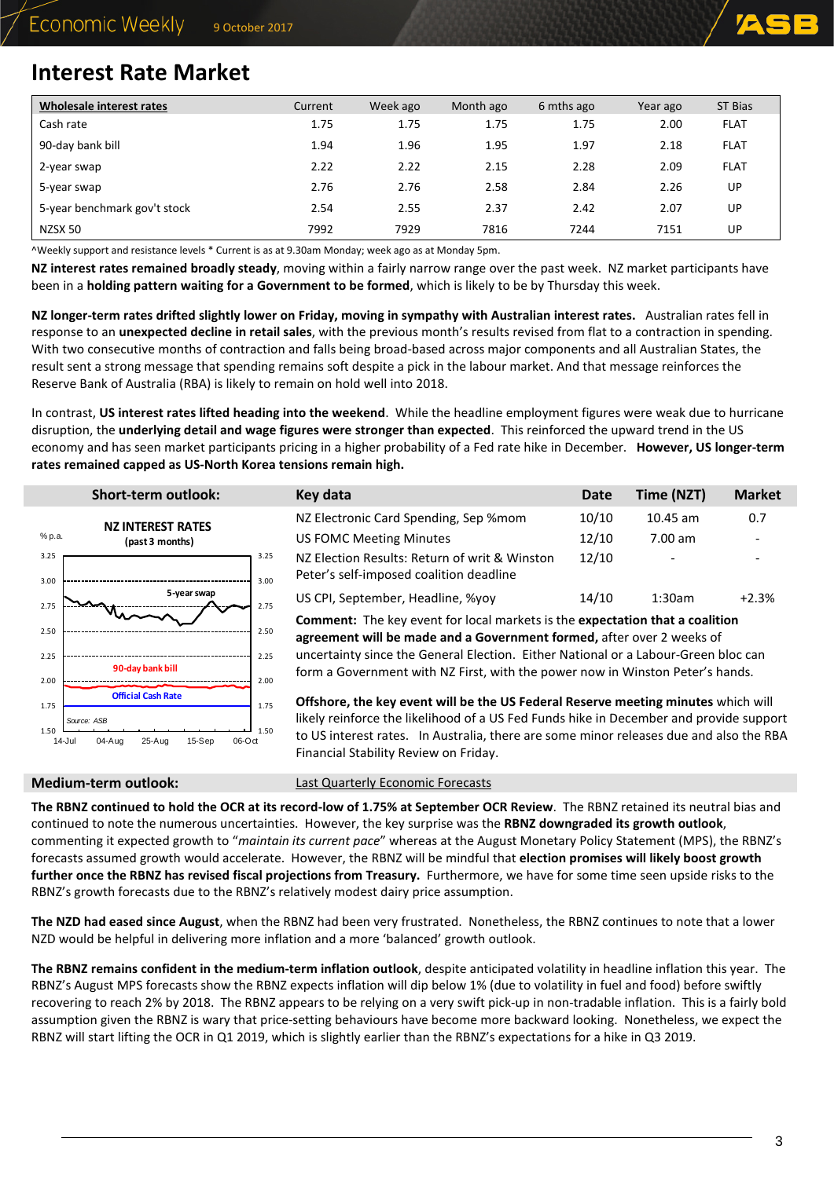

### <span id="page-2-0"></span>**Interest Rate Market**

| Wholesale interest rates     | Current | Week ago | Month ago | 6 mths ago | Year ago | ST Bias     |
|------------------------------|---------|----------|-----------|------------|----------|-------------|
| Cash rate                    | 1.75    | 1.75     | 1.75      | 1.75       | 2.00     | <b>FLAT</b> |
| 90-day bank bill             | 1.94    | 1.96     | 1.95      | 1.97       | 2.18     | <b>FLAT</b> |
| 2-year swap                  | 2.22    | 2.22     | 2.15      | 2.28       | 2.09     | <b>FLAT</b> |
| 5-year swap                  | 2.76    | 2.76     | 2.58      | 2.84       | 2.26     | UP          |
| 5-year benchmark gov't stock | 2.54    | 2.55     | 2.37      | 2.42       | 2.07     | UP          |
| NZSX 50                      | 7992    | 7929     | 7816      | 7244       | 7151     | UP          |

^Weekly support and resistance levels \* Current is as at 9.30am Monday; week ago as at Monday 5pm.

 $1.50$ 

1.75

**NZ interest rates remained broadly steady**, moving within a fairly narrow range over the past week. NZ market participants have been in a **holding pattern waiting for a Government to be formed**, which is likely to be by Thursday this week.

**NZ longer-term rates drifted slightly lower on Friday, moving in sympathy with Australian interest rates.** Australian rates fell in response to an **unexpected decline in retail sales**, with the previous month's results revised from flat to a contraction in spending. With two consecutive months of contraction and falls being broad-based across major components and all Australian States, the result sent a strong message that spending remains soft despite a pick in the labour market. And that message reinforces the Reserve Bank of Australia (RBA) is likely to remain on hold well into 2018.

In contrast, **US interest rates lifted heading into the weekend**. While the headline employment figures were weak due to hurricane disruption, the **underlying detail and wage figures were stronger than expected**. This reinforced the upward trend in the US economy and has seen market participants pricing in a higher probability of a Fed rate hike in December. **However, US longer-term rates remained capped as US-North Korea tensions remain high.**

|              | <b>Short-term outlook:</b> |              | Key data                                                                                                                                                            | <b>Date</b> | Time (NZT) | <b>Market</b> |
|--------------|----------------------------|--------------|---------------------------------------------------------------------------------------------------------------------------------------------------------------------|-------------|------------|---------------|
|              | <b>NZ INTEREST RATES</b>   |              | NZ Electronic Card Spending, Sep %mom                                                                                                                               | 10/10       | $10.45$ am | 0.7           |
| % p.a.       | (past 3 months)            |              | US FOMC Meeting Minutes                                                                                                                                             | 12/10       | $7.00$ am  |               |
| 3.25<br>3.00 |                            | 3.25<br>3.00 | NZ Election Results: Return of writ & Winston<br>Peter's self-imposed coalition deadline                                                                            | 12/10       |            |               |
| 2.75         | 5-year swap                | 2.75         | US CPI, September, Headline, %yoy                                                                                                                                   | 14/10       | 1:30am     | $+2.3%$       |
| 2.50         |                            | 2.50         | <b>Comment:</b> The key event for local markets is the expectation that a coalition<br>agreement will be made and a Government formed, after over 2 weeks of        |             |            |               |
| 2.25<br>2.00 | 90-day bank bill           | 2.25<br>2.00 | uncertainty since the General Election. Either National or a Labour-Green bloc can<br>form a Government with NZ First, with the power now in Winston Peter's hands. |             |            |               |

**Offshore, the key event will be the US Federal Reserve meeting minutes** which will likely reinforce the likelihood of a US Fed Funds hike in December and provide support to US interest rates. In Australia, there are some minor releases due and also the RBA Financial Stability Review on Friday.

*Source: ASB*

04-Aug 25-Aug 15-Sep

**Official Cash Rate**

 $1.50$   $14.10$ 

1.75

**Medium-term outlook:** [Last Quarterly Economic Forecasts](https://www.asb.co.nz/documents/economic-research/quarterly-economic-forecasts.html)

**The RBNZ continued to hold the OCR at its record-low of 1.75% at September OCR Review**. The RBNZ retained its neutral bias and continued to note the numerous uncertainties. However, the key surprise was the **RBNZ downgraded its growth outlook**, commenting it expected growth to "*maintain its current pace*" whereas at the August Monetary Policy Statement (MPS), the RBNZ's forecasts assumed growth would accelerate. However, the RBNZ will be mindful that **election promises will likely boost growth further once the RBNZ has revised fiscal projections from Treasury.** Furthermore, we have for some time seen upside risks to the RBNZ's growth forecasts due to the RBNZ's relatively modest dairy price assumption.

**The NZD had eased since August**, when the RBNZ had been very frustrated. Nonetheless, the RBNZ continues to note that a lower NZD would be helpful in delivering more inflation and a more 'balanced' growth outlook.

**The RBNZ remains confident in the medium-term inflation outlook**, despite anticipated volatility in headline inflation this year. The RBNZ's August MPS forecasts show the RBNZ expects inflation will dip below 1% (due to volatility in fuel and food) before swiftly recovering to reach 2% by 2018. The RBNZ appears to be relying on a very swift pick-up in non-tradable inflation. This is a fairly bold assumption given the RBNZ is wary that price-setting behaviours have become more backward looking. Nonetheless, we expect the RBNZ will start lifting the OCR in Q1 2019, which is slightly earlier than the RBNZ's expectations for a hike in Q3 2019.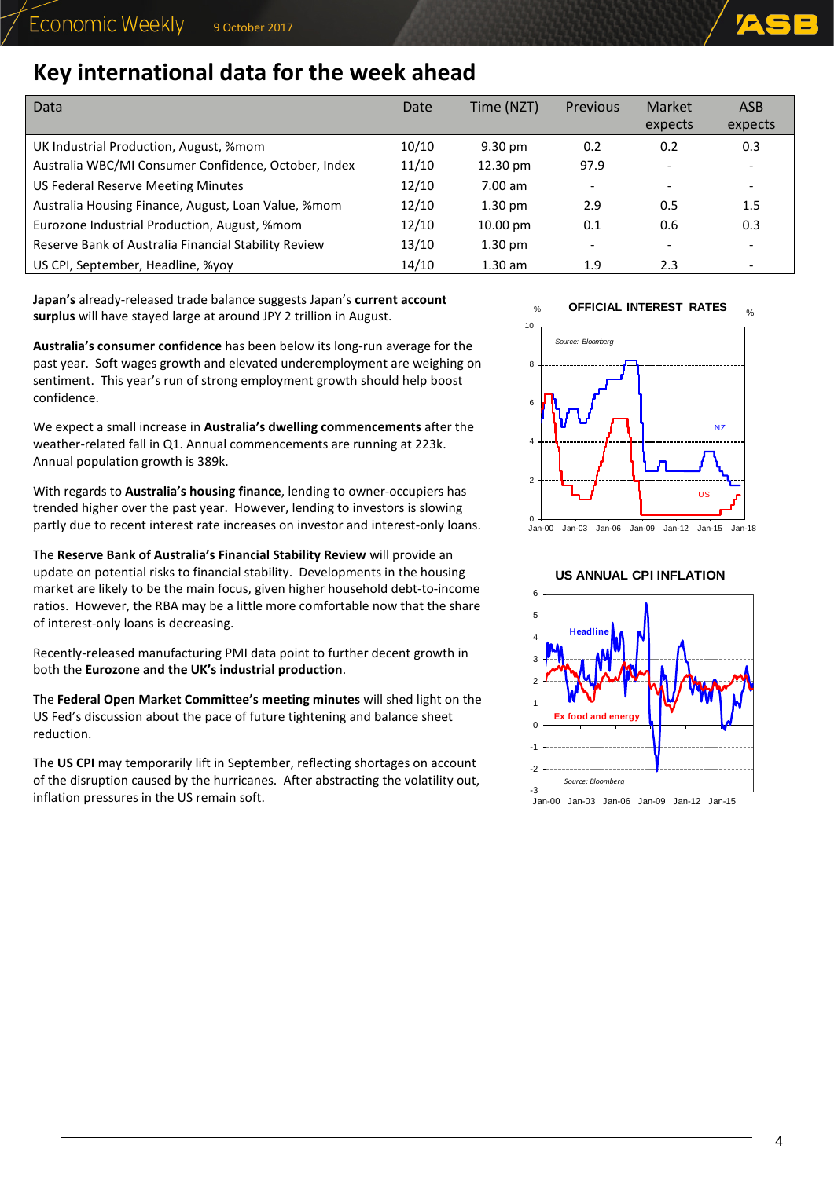$O<sub>L</sub>$ 

# **Key international data for the week ahead**

| Data                                                 | Date  | Time (NZT)         | <b>Previous</b>          | Market<br>expects        | ASB<br>expects           |
|------------------------------------------------------|-------|--------------------|--------------------------|--------------------------|--------------------------|
| UK Industrial Production, August, %mom               | 10/10 | $9.30 \text{ pm}$  | 0.2                      | 0.2                      | 0.3                      |
| Australia WBC/MI Consumer Confidence, October, Index | 11/10 | 12.30 pm           | 97.9                     | $\overline{\phantom{0}}$ |                          |
| <b>US Federal Reserve Meeting Minutes</b>            | 12/10 | $7.00$ am          | $\overline{\phantom{0}}$ | $\overline{\phantom{a}}$ | $\overline{\phantom{a}}$ |
| Australia Housing Finance, August, Loan Value, %mom  | 12/10 | $1.30 \text{ pm}$  | 2.9                      | 0.5                      | 1.5                      |
| Eurozone Industrial Production, August, %mom         | 12/10 | $10.00 \text{ pm}$ | 0.1                      | 0.6                      | 0.3                      |
| Reserve Bank of Australia Financial Stability Review | 13/10 | $1.30 \text{ pm}$  | -                        | -                        |                          |
| US CPI, September, Headline, %yoy                    | 14/10 | $1.30$ am          | 1.9                      | 2.3                      |                          |

**Japan's** already-released trade balance suggests Japan's **current account surplus** will have stayed large at around JPY 2 trillion in August.

**Australia's consumer confidence** has been below its long-run average for the past year. Soft wages growth and elevated underemployment are weighing on sentiment. This year's run of strong employment growth should help boost confidence.

We expect a small increase in **Australia's dwelling commencements** after the weather-related fall in Q1. Annual commencements are running at 223k. Annual population growth is 389k.

With regards to **Australia's housing finance**, lending to owner-occupiers has trended higher over the past year. However, lending to investors is slowing partly due to recent interest rate increases on investor and interest-only loans.

The **Reserve Bank of Australia's Financial Stability Review** will provide an update on potential risks to financial stability. Developments in the housing market are likely to be the main focus, given higher household debt-to-income ratios. However, the RBA may be a little more comfortable now that the share of interest-only loans is decreasing.

Recently-released manufacturing PMI data point to further decent growth in both the **Eurozone and the UK's industrial production**.

The **Federal Open Market Committee's meeting minutes** will shed light on the US Fed's discussion about the pace of future tightening and balance sheet reduction.

The **US CPI** may temporarily lift in September, reflecting shortages on account of the disruption caused by the hurricanes. After abstracting the volatility out, inflation pressures in the US remain soft.

% **OFFICIAL INTEREST RATES**



**US ANNUAL CPI INFLATION**



Jan-00 Jan-03 Jan-06 Jan-09 Jan-12 Jan-15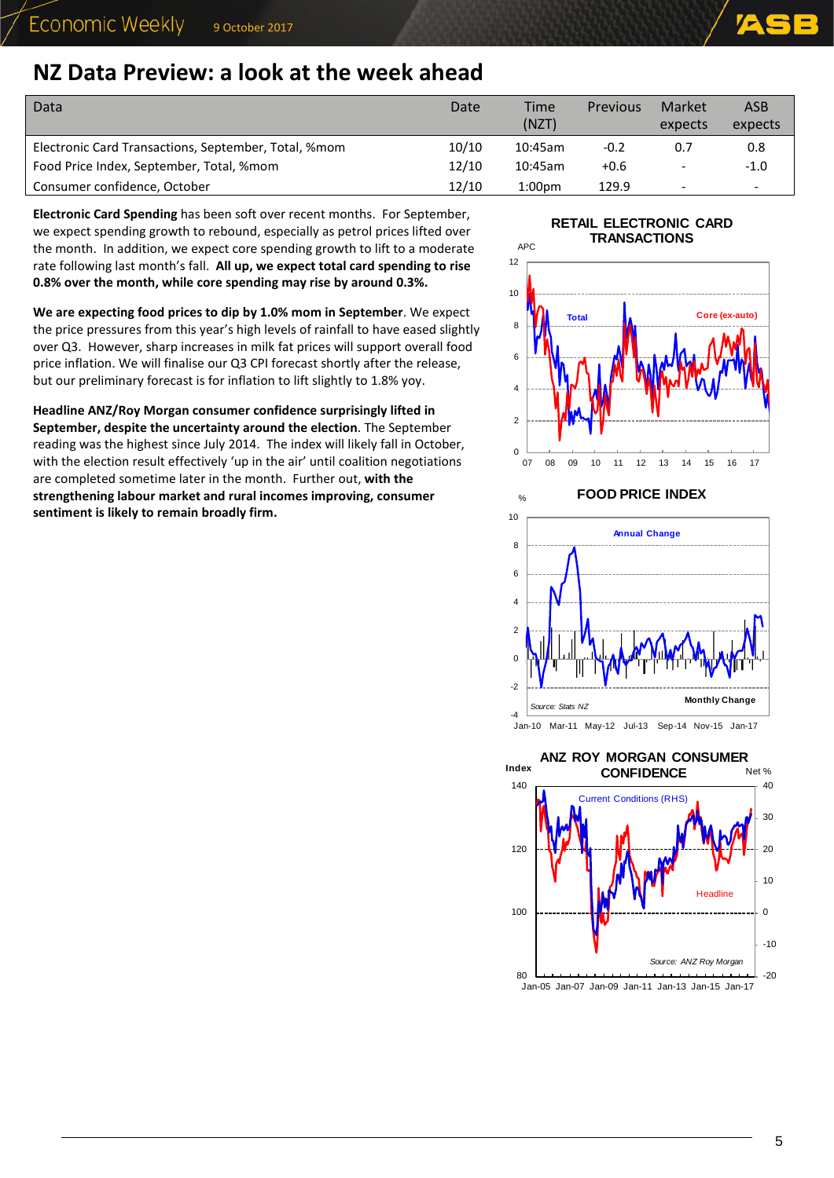### <span id="page-4-0"></span>**NZ Data Preview: a look at the week ahead**

| Data                                                 | Date  | <b>Time</b><br>(NZT) | <b>Previous</b> | Market<br>expects        | <b>ASB</b><br>expects |
|------------------------------------------------------|-------|----------------------|-----------------|--------------------------|-----------------------|
| Electronic Card Transactions, September, Total, %mom | 10/10 | 10:45am              | $-0.2$          | 0.7                      | 0.8                   |
| Food Price Index, September, Total, %mom             | 12/10 | 10:45am              | $+0.6$          |                          | $-1.0$                |
| Consumer confidence, October                         | 12/10 | 1:00 <sub>pm</sub>   | 129.9           | $\overline{\phantom{a}}$ | -                     |

**Electronic Card Spending** has been soft over recent months.For September, we expect spending growth to rebound, especially as petrol prices lifted over the month. In addition, we expect core spending growth to lift to a moderate rate following last month's fall. **All up, we expect total card spending to rise 0.8% over the month, while core spending may rise by around 0.3%.**

**We are expecting food prices to dip by 1.0% mom in September**. We expect the price pressures from this year's high levels of rainfall to have eased slightly over Q3. However, sharp increases in milk fat prices will support overall food price inflation. We will finalise our Q3 CPI forecast shortly after the release, but our preliminary forecast is for inflation to lift slightly to 1.8% yoy.

**Headline ANZ/Roy Morgan consumer confidence surprisingly lifted in September, despite the uncertainty around the election**. The September reading was the highest since July 2014. The index will likely fall in October, with the election result effectively 'up in the air' until coalition negotiations are completed sometime later in the month. Further out, **with the strengthening labour market and rural incomes improving, consumer sentiment is likely to remain broadly firm.**

### **RETAIL ELECTRONIC CARD**  APC **TRANSACTIONS**





-4 Jan-10 Mar-11 May-12 Jul-13 Sep-14 Nov-15 Jan-17

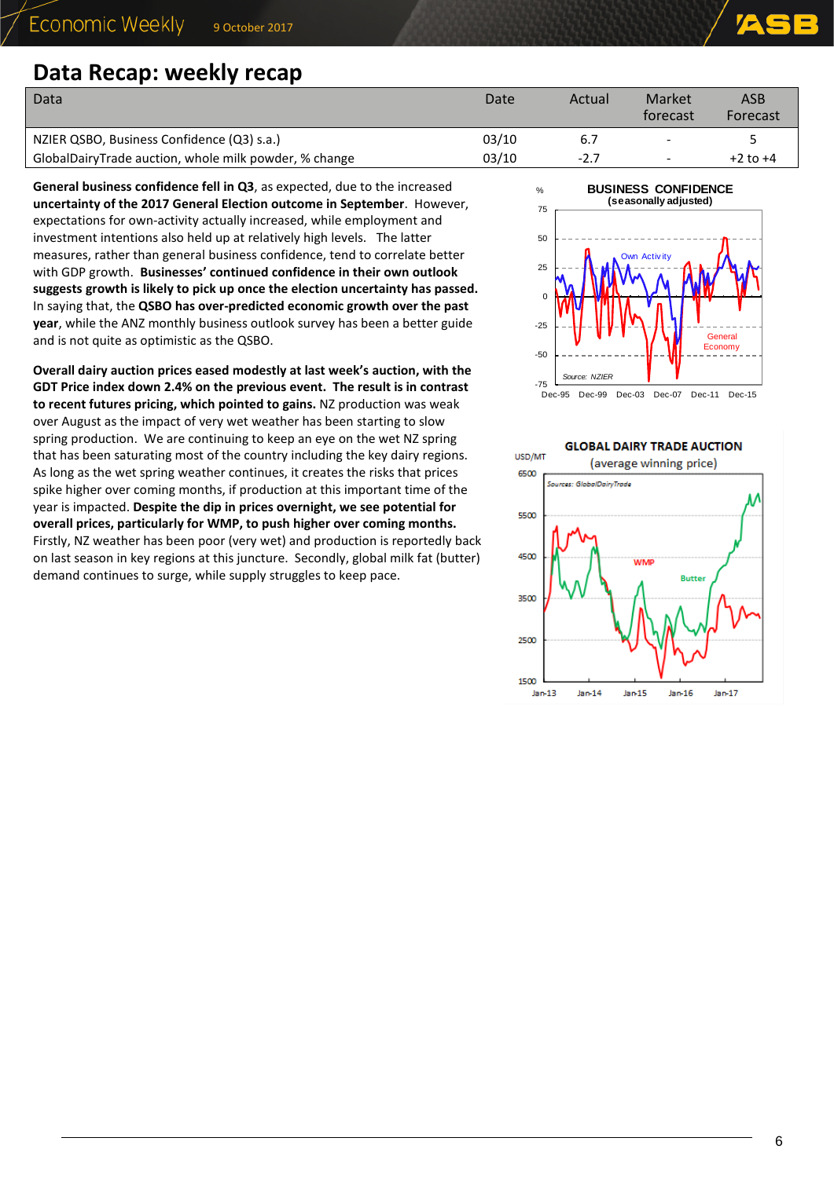### <span id="page-5-0"></span>**Data Recap: weekly recap**

| Data                                                  | Date  | Actual | Market<br>torecast | ASB<br>Forecast |
|-------------------------------------------------------|-------|--------|--------------------|-----------------|
| NZIER QSBO, Business Confidence (Q3) s.a.)            | 03/10 | 6.7    |                    |                 |
| GlobalDairyTrade auction, whole milk powder, % change | 03/10 | -2.7   |                    | $+2$ to $+4$    |

**General business confidence fell in Q3**, as expected, due to the increased **uncertainty of the 2017 General Election outcome in September**. However, expectations for own-activity actually increased, while employment and investment intentions also held up at relatively high levels. The latter measures, rather than general business confidence, tend to correlate better with GDP growth. **Businesses' continued confidence in their own outlook suggests growth is likely to pick up once the election uncertainty has passed.**  In saying that, the **QSBO has over-predicted economic growth over the past year**, while the ANZ monthly business outlook survey has been a better guide and is not quite as optimistic as the QSBO.

**Overall dairy auction prices eased modestly at last week's auction, with the GDT Price index down 2.4% on the previous event. The result is in contrast to recent futures pricing, which pointed to gains.** NZ production was weak over August as the impact of very wet weather has been starting to slow spring production. We are continuing to keep an eye on the wet NZ spring that has been saturating most of the country including the key dairy regions. As long as the wet spring weather continues, it creates the risks that prices spike higher over coming months, if production at this important time of the year is impacted. **Despite the dip in prices overnight, we see potential for overall prices, particularly for WMP, to push higher over coming months.** Firstly, NZ weather has been poor (very wet) and production is reportedly back on last season in key regions at this juncture. Secondly, global milk fat (butter) demand continues to surge, while supply struggles to keep pace.



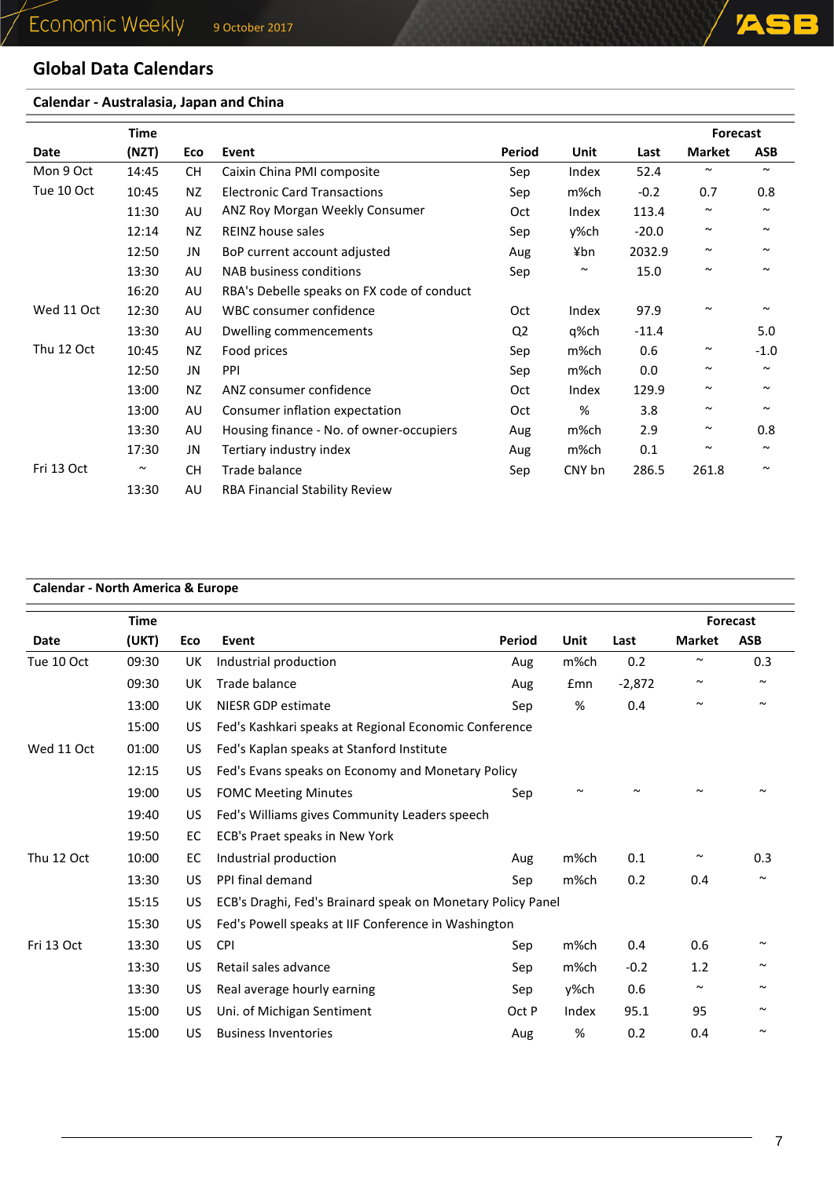### **Global Data Calendars**

### **Calendar - Australasia, Japan and China**

|            | <b>Time</b> |           |                                            |                |                       |         | Forecast              |            |
|------------|-------------|-----------|--------------------------------------------|----------------|-----------------------|---------|-----------------------|------------|
| Date       | (NZT)       | Eco       | Event                                      | Period         | Unit                  | Last    | <b>Market</b>         | <b>ASB</b> |
| Mon 9 Oct  | 14:45       | <b>CH</b> | Caixin China PMI composite                 | Sep            | Index                 | 52.4    | $\sim$                | $\sim$     |
| Tue 10 Oct | 10:45       | NZ        | <b>Electronic Card Transactions</b>        | Sep            | m%ch                  | $-0.2$  | 0.7                   | 0.8        |
|            | 11:30       | AU        | ANZ Roy Morgan Weekly Consumer             | Oct            | Index                 | 113.4   | $\tilde{\phantom{a}}$ | $\sim$     |
|            | 12:14       | ΝZ        | <b>REINZ house sales</b>                   | Sep            | y%ch                  | $-20.0$ | $\sim$                | $\sim$     |
|            | 12:50       | JN        | BoP current account adjusted               | Aug            | ¥bn                   | 2032.9  | $\sim$                | $\sim$     |
|            | 13:30       | AU        | NAB business conditions                    | Sep            | $\tilde{\phantom{a}}$ | 15.0    | $\sim$                | $\sim$     |
|            | 16:20       | AU        | RBA's Debelle speaks on FX code of conduct |                |                       |         |                       |            |
| Wed 11 Oct | 12:30       | AU        | WBC consumer confidence                    | Oct            | Index                 | 97.9    | $\tilde{\phantom{a}}$ |            |
|            | 13:30       | AU        | Dwelling commencements                     | Q <sub>2</sub> | q%ch                  | $-11.4$ |                       | 5.0        |
| Thu 12 Oct | 10:45       | <b>NZ</b> | Food prices                                | Sep            | m%ch                  | 0.6     | $\sim$                | $-1.0$     |
|            | 12:50       | JN        | <b>PPI</b>                                 | Sep            | m%ch                  | 0.0     | $\tilde{\phantom{a}}$ | $\sim$     |
|            | 13:00       | NZ        | ANZ consumer confidence                    | Oct            | Index                 | 129.9   | $\sim$                | $\sim$     |
|            | 13:00       | AU        | Consumer inflation expectation             | Oct            | %                     | 3.8     | $\tilde{\phantom{a}}$ | $\sim$     |
|            | 13:30       | AU        | Housing finance - No. of owner-occupiers   | Aug            | m%ch                  | 2.9     | $\sim$                | 0.8        |
|            | 17:30       | JN        | Tertiary industry index                    | Aug            | m%ch                  | 0.1     | $\sim$                | $\sim$     |
| Fri 13 Oct | $\sim$      | <b>CH</b> | Trade balance                              | Sep            | CNY bn                | 286.5   | 261.8                 | $\sim$     |
|            | 13:30       | AU        | <b>RBA Financial Stability Review</b>      |                |                       |         |                       |            |

### **Calendar - North America & Europe**

|            | <b>Time</b> |     |                                                             |        |        |          |               | Forecast              |
|------------|-------------|-----|-------------------------------------------------------------|--------|--------|----------|---------------|-----------------------|
| Date       | (UKT)       | Eco | Event                                                       | Period | Unit   | Last     | <b>Market</b> | <b>ASB</b>            |
| Tue 10 Oct | 09:30       | UK  | Industrial production                                       | Aug    | m%ch   | 0.2      | $\sim$        | 0.3                   |
|            | 09:30       | UK  | Trade balance                                               | Aug    | £mn    | $-2,872$ | $\sim$        | $\sim$                |
|            | 13:00       | UK  | NIESR GDP estimate                                          | Sep    | %      | 0.4      | $\sim$        | $\sim$                |
|            | 15:00       | US. | Fed's Kashkari speaks at Regional Economic Conference       |        |        |          |               |                       |
| Wed 11 Oct | 01:00       | US. | Fed's Kaplan speaks at Stanford Institute                   |        |        |          |               |                       |
|            | 12:15       | US. | Fed's Evans speaks on Economy and Monetary Policy           |        |        |          |               |                       |
|            | 19:00       | US  | <b>FOMC Meeting Minutes</b>                                 | Sep    | $\sim$ |          |               |                       |
|            | 19:40       | US  | Fed's Williams gives Community Leaders speech               |        |        |          |               |                       |
|            | 19:50       | EC  | ECB's Praet speaks in New York                              |        |        |          |               |                       |
| Thu 12 Oct | 10:00       | EC. | Industrial production                                       | Aug    | m%ch   | 0.1      | $\sim$        | 0.3                   |
|            | 13:30       | US. | PPI final demand                                            | Sep    | m%ch   | 0.2      | 0.4           | $\sim$                |
|            | 15:15       | US  | ECB's Draghi, Fed's Brainard speak on Monetary Policy Panel |        |        |          |               |                       |
|            | 15:30       | US. | Fed's Powell speaks at IIF Conference in Washington         |        |        |          |               |                       |
| Fri 13 Oct | 13:30       | US. | <b>CPI</b>                                                  | Sep    | m%ch   | 0.4      | 0.6           |                       |
|            | 13:30       | US  | Retail sales advance                                        | Sep    | m%ch   | $-0.2$   | 1.2           | $\sim$                |
|            | 13:30       | US. | Real average hourly earning                                 | Sep    | v%ch   | 0.6      | $\sim$        | $\tilde{\phantom{a}}$ |
|            | 15:00       | US. | Uni. of Michigan Sentiment                                  | Oct P  | Index  | 95.1     | 95            | $\sim$                |
|            | 15:00       | US  | <b>Business Inventories</b>                                 | Aug    | %      | 0.2      | 0.4           | $\sim$                |